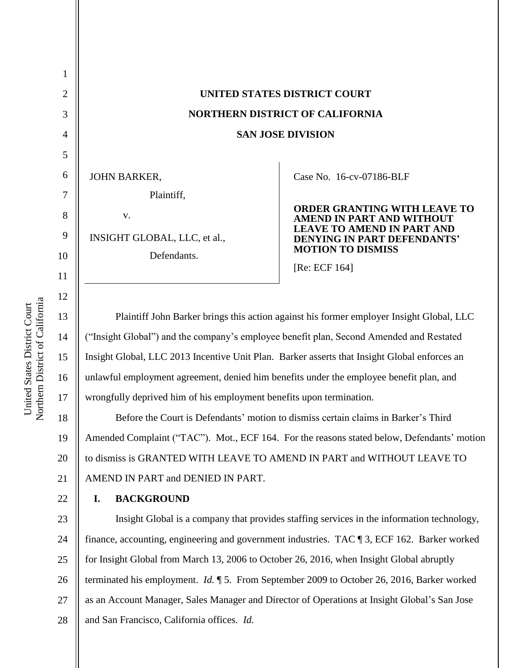| h District of California | 5  |                                     |
|--------------------------|----|-------------------------------------|
|                          | 6  | <b>JOHN BARKER,</b>                 |
|                          | 7  | Plaintiff,                          |
|                          | 8  | v.                                  |
|                          | 9  | INSIGHT GLOBAL, LLC, et al.,        |
|                          | 10 | Defendants.                         |
|                          | 11 |                                     |
|                          | 12 |                                     |
|                          | 13 | <b>Plaintiff John Barker brings</b> |
|                          | 14 | ("Insight Global") and the compan   |
|                          | 15 | Insight Global, LLC 2013 Incentiv   |
|                          | 16 | unlawful employment agreement, on   |
|                          |    |                                     |

2

3

4

# **UNITED STATES DISTRICT COURT NORTHERN DISTRICT OF CALIFORNIA SAN JOSE DIVISION**

Case No. [16-cv-07186-BLF](https://ecf.cand.uscourts.gov/cgi-bin/DktRpt.pl?306158) 

**ORDER GRANTING WITH LEAVE TO AMEND IN PART AND WITHOUT LEAVE TO AMEND IN PART AND DENYING IN PART DEFENDANTS' MOTION TO DISMISS** 

[Re: ECF 164]

ohn Barker brings this action against his former employer Insight Global, LLC () and the company's employee benefit plan, Second Amended and Restated LC 2013 Incentive Unit Plan. Barker asserts that Insight Global enforces an ment agreement, denied him benefits under the employee benefit plan, and wrongfully deprived him of his employment benefits upon termination.

18 19 20 21 Before the Court is Defendants' motion to dismiss certain claims in Barker's Third Amended Complaint ("TAC"). Mot., ECF 164. For the reasons stated below, Defendants' motion to dismiss is GRANTED WITH LEAVE TO AMEND IN PART and WITHOUT LEAVE TO AMEND IN PART and DENIED IN PART.

22

**I. BACKGROUND**

23 24 25 26 27 28 Insight Global is a company that provides staffing services in the information technology, finance, accounting, engineering and government industries. TAC ¶ 3, ECF 162. Barker worked for Insight Global from March 13, 2006 to October 26, 2016, when Insight Global abruptly terminated his employment. *Id.* ¶ 5. From September 2009 to October 26, 2016, Barker worked as an Account Manager, Sales Manager and Director of Operations at Insight Global's San Jose and San Francisco, California offices. *Id.*

Northern District of California United States District Court United States District Court Northern District of Califor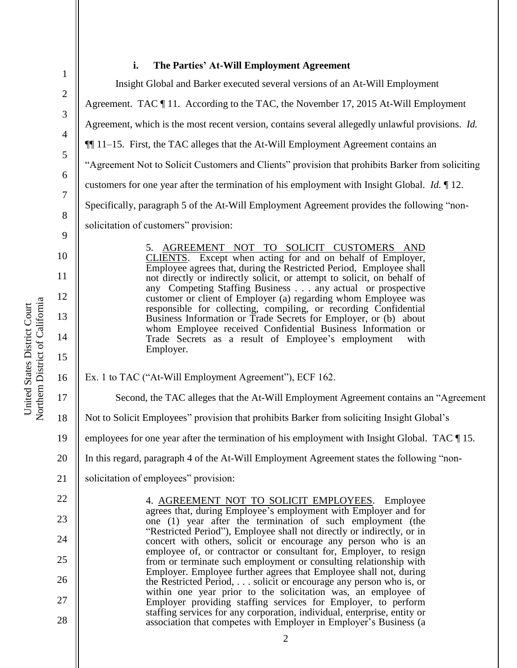# **i. The Parties' At-Will Employment Agreement**

1 2 3 4 5 6 7 8 9 10 11 12 13 14 15 16 17 18 19 20 21 22 23 24 25 26 27 28 Insight Global and Barker executed several versions of an At-Will Employment Agreement. TAC  $\P$  11. According to the TAC, the November 17, 2015 At-Will Employment Agreement, which is the most recent version, contains several allegedly unlawful provisions. *Id.* ¶¶ 11–15. First, the TAC alleges that the At-Will Employment Agreement contains an "Agreement Not to Solicit Customers and Clients" provision that prohibits Barker from soliciting customers for one year after the termination of his employment with Insight Global. *Id.* ¶ 12. Specifically, paragraph 5 of the At-Will Employment Agreement provides the following "nonsolicitation of customers" provision: 5. AGREEMENT NOT TO SOLICIT CUSTOMERS AND CLIENTS. Except when acting for and on behalf of Employer, Employee agrees that, during the Restricted Period, Employee shall not directly or indirectly solicit, or attempt to solicit, on behalf of any Competing Staffing Business . . . any actual or prospective customer or client of Employer (a) regarding whom Employee was responsible for collecting, compiling, or recording Confidential Business Information or Trade Secrets for Employer, or (b) about whom Employee received Confidential Business Information or Trade Secrets as a result of Employee's employment with Employer. Ex. 1 to TAC ("At-Will Employment Agreement"), ECF 162. Second, the TAC alleges that the At-Will Employment Agreement contains an "Agreement Not to Solicit Employees" provision that prohibits Barker from soliciting Insight Global's employees for one year after the termination of his employment with Insight Global. TAC ¶ 15. In this regard, paragraph 4 of the At-Will Employment Agreement states the following "nonsolicitation of employees" provision: 4. AGREEMENT NOT TO SOLICIT EMPLOYEES. Employee agrees that, during Employee's employment with Employer and for one (1) year after the termination of such employment (the "Restricted Period"), Employee shall not directly or indirectly, or in concert with others, solicit or encourage any person who is an employee of, or contractor or consultant for, Employer, to resign from or terminate such employment or consulting relationship with Employer. Employee further agrees that Employee shall not, during the Restricted Period, . . . solicit or encourage any person who is, or within one year prior to the solicitation was, an employee of Employer providing staffing services for Employer, to perform staffing services for any corporation, individual, enterprise, entity or association that competes with Employer in Employer's Business (a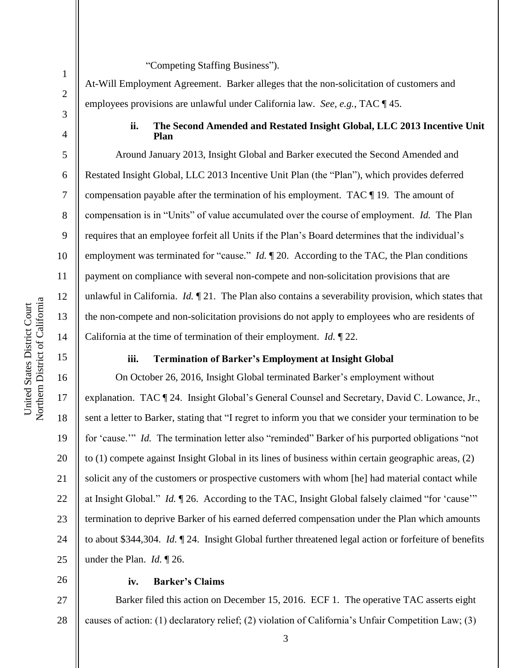9

10

11

12

13

14

15

16

17

18

19

20

21

22

23

24

25

1

"Competing Staffing Business").

At-Will Employment Agreement. Barker alleges that the non-solicitation of customers and employees provisions are unlawful under California law. *See, e.g.*, TAC ¶ 45.

# **ii. The Second Amended and Restated Insight Global, LLC 2013 Incentive Unit Plan**

Around January 2013, Insight Global and Barker executed the Second Amended and Restated Insight Global, LLC 2013 Incentive Unit Plan (the "Plan"), which provides deferred compensation payable after the termination of his employment. TAC ¶ 19. The amount of compensation is in "Units" of value accumulated over the course of employment. *Id.* The Plan requires that an employee forfeit all Units if the Plan's Board determines that the individual's employment was terminated for "cause." *Id.* 120. According to the TAC, the Plan conditions payment on compliance with several non-compete and non-solicitation provisions that are unlawful in California. *Id.* ¶ 21. The Plan also contains a severability provision, which states that the non-compete and non-solicitation provisions do not apply to employees who are residents of California at the time of termination of their employment. *Id.* ¶ 22.

## **iii. Termination of Barker's Employment at Insight Global**

On October 26, 2016, Insight Global terminated Barker's employment without explanation. TAC ¶ 24. Insight Global's General Counsel and Secretary, David C. Lowance, Jr., sent a letter to Barker, stating that "I regret to inform you that we consider your termination to be for 'cause.'" *Id.* The termination letter also "reminded" Barker of his purported obligations "not to (1) compete against Insight Global in its lines of business within certain geographic areas, (2) solicit any of the customers or prospective customers with whom [he] had material contact while at Insight Global." *Id.* ¶ 26. According to the TAC, Insight Global falsely claimed "for 'cause'" termination to deprive Barker of his earned deferred compensation under the Plan which amounts to about \$344,304. *Id.* ¶ 24. Insight Global further threatened legal action or forfeiture of benefits under the Plan. *Id.* ¶ 26.

26

#### **iv. Barker's Claims**

27 28 Barker filed this action on December 15, 2016. ECF 1. The operative TAC asserts eight causes of action: (1) declaratory relief; (2) violation of California's Unfair Competition Law; (3)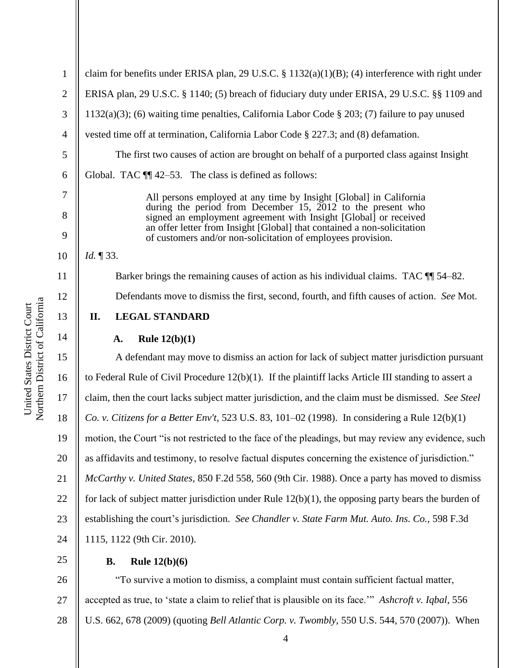Northern District of California Northern District of California United States District Court United States District Court

1 2 3 4 5 6 7 8 9 10 11 12 13 14 15 16 17 18 19 20 21 22 23 24 25 26 claim for benefits under ERISA plan, 29 U.S.C. § 1132(a)(1)(B); (4) interference with right under ERISA plan, 29 U.S.C. § 1140; (5) breach of fiduciary duty under ERISA, 29 U.S.C. §§ 1109 and 1132(a)(3); (6) waiting time penalties, California Labor Code § 203; (7) failure to pay unused vested time off at termination, California Labor Code § 227.3; and (8) defamation. The first two causes of action are brought on behalf of a purported class against Insight Global. TAC  $\P$  42–53. The class is defined as follows: All persons employed at any time by Insight [Global] in California during the period from December 15, 2012 to the present who signed an employment agreement with Insight [Global] or received an offer letter from Insight [Global] that contained a non-solicitation of customers and/or non-solicitation of employees provision. *Id.* ¶ 33. Barker brings the remaining causes of action as his individual claims. TAC  $\P$  54–82. Defendants move to dismiss the first, second, fourth, and fifth causes of action. *See* Mot. **II. LEGAL STANDARD A. Rule 12(b)(1)** A defendant may move to dismiss an action for lack of subject matter jurisdiction pursuant to Federal Rule of Civil Procedure 12(b)(1). If the plaintiff lacks Article III standing to assert a claim, then the court lacks subject matter jurisdiction, and the claim must be dismissed. *See Steel Co. v. Citizens for a Better Env't,* 523 U.S. 83, 101–02 (1998). In considering a Rule 12(b)(1) motion, the Court "is not restricted to the face of the pleadings, but may review any evidence, such as affidavits and testimony, to resolve factual disputes concerning the existence of jurisdiction." *McCarthy v. United States,* 850 F.2d 558, 560 (9th Cir. 1988). Once a party has moved to dismiss for lack of subject matter jurisdiction under Rule  $12(b)(1)$ , the opposing party bears the burden of establishing the court's jurisdiction. *See Chandler v. State Farm Mut. Auto. Ins. Co.,* 598 F.3d 1115, 1122 (9th Cir. 2010). **B. Rule 12(b)(6)** "To survive a motion to dismiss, a complaint must contain sufficient factual matter,

27 28 accepted as true, to 'state a claim to relief that is plausible on its face.'" *Ashcroft v. Iqbal*, 556 U.S. 662, 678 (2009) (quoting *Bell Atlantic Corp. v. Twombly*, 550 U.S. 544, 570 (2007)). When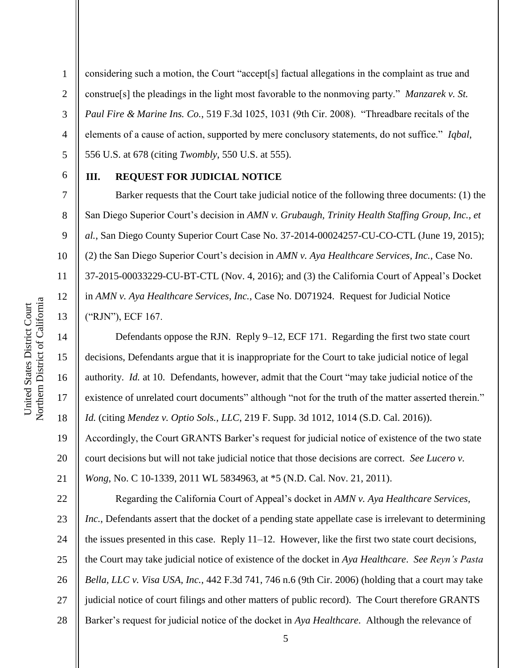Northern District of California Northern District of California United States District Court United States District Court

considering such a motion, the Court "accept[s] factual allegations in the complaint as true and construe[s] the pleadings in the light most favorable to the nonmoving party." *Manzarek v. St. Paul Fire & Marine Ins. Co.*, 519 F.3d 1025, 1031 (9th Cir. 2008). "Threadbare recitals of the elements of a cause of action, supported by mere conclusory statements, do not suffice." *Iqbal*, 556 U.S. at 678 (citing *Twombly*, 550 U.S. at 555).

6

7

8

9

10

11

12

13

1

2

3

4

5

# **III. REQUEST FOR JUDICIAL NOTICE**

Barker requests that the Court take judicial notice of the following three documents: (1) the San Diego Superior Court's decision in *AMN v. Grubaugh, Trinity Health Staffing Group, Inc., et al.*, San Diego County Superior Court Case No. 37-2014-00024257-CU-CO-CTL (June 19, 2015); (2) the San Diego Superior Court's decision in *AMN v. Aya Healthcare Services, Inc.*, Case No. 37-2015-00033229-CU-BT-CTL (Nov. 4, 2016); and (3) the California Court of Appeal's Docket in *AMN v. Aya Healthcare Services, Inc.*, Case No. D071924. Request for Judicial Notice ("RJN"), ECF 167.

14 15 16 17 18 19 20 21 Defendants oppose the RJN. Reply 9–12, ECF 171. Regarding the first two state court decisions, Defendants argue that it is inappropriate for the Court to take judicial notice of legal authority. *Id.* at 10. Defendants, however, admit that the Court "may take judicial notice of the existence of unrelated court documents" although "not for the truth of the matter asserted therein." *Id.* (citing *Mendez v. Optio Sols., LLC*, 219 F. Supp. 3d 1012, 1014 (S.D. Cal. 2016)). Accordingly, the Court GRANTS Barker's request for judicial notice of existence of the two state court decisions but will not take judicial notice that those decisions are correct. *See Lucero v. Wong*, No. C 10-1339, 2011 WL 5834963, at \*5 (N.D. Cal. Nov. 21, 2011).

22 23 24 25 26 27 28 Regarding the California Court of Appeal's docket in *AMN v. Aya Healthcare Services, Inc.*, Defendants assert that the docket of a pending state appellate case is irrelevant to determining the issues presented in this case. Reply 11–12. However, like the first two state court decisions, the Court may take judicial notice of existence of the docket in *Aya Healthcare*. *See Reyn's Pasta Bella, LLC v. Visa USA, Inc.*, 442 F.3d 741, 746 n.6 (9th Cir. 2006) (holding that a court may take judicial notice of court filings and other matters of public record). The Court therefore GRANTS Barker's request for judicial notice of the docket in *Aya Healthcare*. Although the relevance of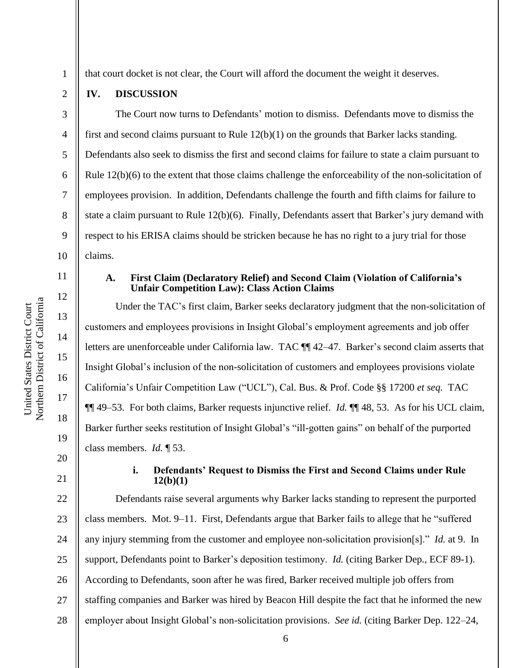that court docket is not clear, the Court will afford the document the weight it deserves.

#### **IV. DISCUSSION**

1

2

3

4

5

6

7

8

9

10

11

12

13

14

15

16

17

18

19

The Court now turns to Defendants' motion to dismiss. Defendants move to dismiss the first and second claims pursuant to Rule 12(b)(1) on the grounds that Barker lacks standing. Defendants also seek to dismiss the first and second claims for failure to state a claim pursuant to Rule 12(b)(6) to the extent that those claims challenge the enforceability of the non-solicitation of employees provision. In addition, Defendants challenge the fourth and fifth claims for failure to state a claim pursuant to Rule 12(b)(6). Finally, Defendants assert that Barker's jury demand with respect to his ERISA claims should be stricken because he has no right to a jury trial for those claims.

#### **A. First Claim (Declaratory Relief) and Second Claim (Violation of California's Unfair Competition Law): Class Action Claims**

Under the TAC's first claim, Barker seeks declaratory judgment that the non-solicitation of customers and employees provisions in Insight Global's employment agreements and job offer letters are unenforceable under California law. TAC ¶¶ 42–47. Barker's second claim asserts that Insight Global's inclusion of the non-solicitation of customers and employees provisions violate California's Unfair Competition Law ("UCL"), Cal. Bus. & Prof. Code §§ 17200 *et seq.* TAC ¶¶ 49–53. For both claims, Barker requests injunctive relief. *Id.* ¶¶ 48, 53. As for his UCL claim, Barker further seeks restitution of Insight Global's "ill-gotten gains" on behalf of the purported class members. *Id.* ¶ 53.

# 20

21

#### **i. Defendants' Request to Dismiss the First and Second Claims under Rule 12(b)(1)**

22 23 24 25 26 27 28 Defendants raise several arguments why Barker lacks standing to represent the purported class members. Mot. 9–11. First, Defendants argue that Barker fails to allege that he "suffered any injury stemming from the customer and employee non-solicitation provision[s]." *Id.* at 9. In support, Defendants point to Barker's deposition testimony. *Id.* (citing Barker Dep., ECF 89-1). According to Defendants, soon after he was fired, Barker received multiple job offers from staffing companies and Barker was hired by Beacon Hill despite the fact that he informed the new employer about Insight Global's non-solicitation provisions. *See id.* (citing Barker Dep. 122–24,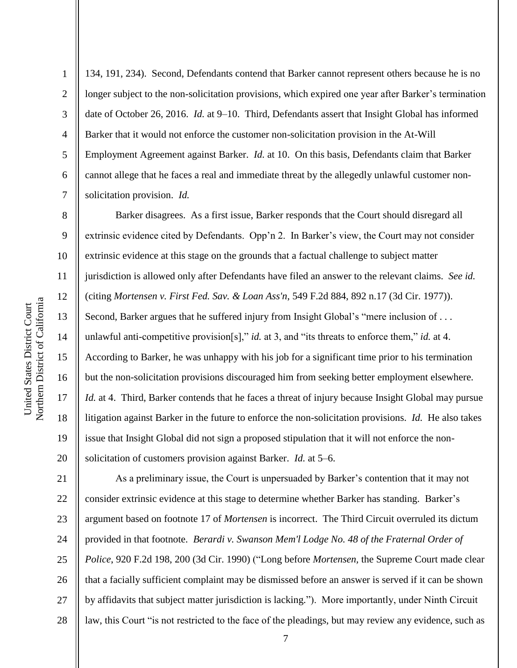2

3

4

5

6

7

8

9

10

11

12

13

14

15

16

17

18

19

20

134, 191, 234). Second, Defendants contend that Barker cannot represent others because he is no longer subject to the non-solicitation provisions, which expired one year after Barker's termination date of October 26, 2016. *Id.* at 9–10. Third, Defendants assert that Insight Global has informed Barker that it would not enforce the customer non-solicitation provision in the At-Will Employment Agreement against Barker. *Id.* at 10. On this basis, Defendants claim that Barker cannot allege that he faces a real and immediate threat by the allegedly unlawful customer nonsolicitation provision. *Id.*

Barker disagrees. As a first issue, Barker responds that the Court should disregard all extrinsic evidence cited by Defendants. Opp'n 2. In Barker's view, the Court may not consider extrinsic evidence at this stage on the grounds that a factual challenge to subject matter jurisdiction is allowed only after Defendants have filed an answer to the relevant claims. *See id.* (citing *Mortensen v. First Fed. Sav. & Loan Ass'n*, 549 F.2d 884, 892 n.17 (3d Cir. 1977)). Second, Barker argues that he suffered injury from Insight Global's "mere inclusion of . . . unlawful anti-competitive provision[s]," *id.* at 3, and "its threats to enforce them," *id.* at 4. According to Barker, he was unhappy with his job for a significant time prior to his termination but the non-solicitation provisions discouraged him from seeking better employment elsewhere. *Id.* at 4. Third, Barker contends that he faces a threat of injury because Insight Global may pursue litigation against Barker in the future to enforce the non-solicitation provisions. *Id.* He also takes issue that Insight Global did not sign a proposed stipulation that it will not enforce the nonsolicitation of customers provision against Barker. *Id.* at 5–6.

21 22 23 24 25 26 27 28 As a preliminary issue, the Court is unpersuaded by Barker's contention that it may not consider extrinsic evidence at this stage to determine whether Barker has standing. Barker's argument based on footnote 17 of *Mortensen* is incorrect. The Third Circuit overruled its dictum provided in that footnote. *Berardi v. Swanson Mem'l Lodge No. 48 of the Fraternal Order of Police*, 920 F.2d 198, 200 (3d Cir. 1990) ("Long before *Mortensen,* the Supreme Court made clear that a facially sufficient complaint may be dismissed before an answer is served if it can be shown by affidavits that subject matter jurisdiction is lacking."). More importantly, under Ninth Circuit law, this Court "is not restricted to the face of the pleadings, but may review any evidence, such as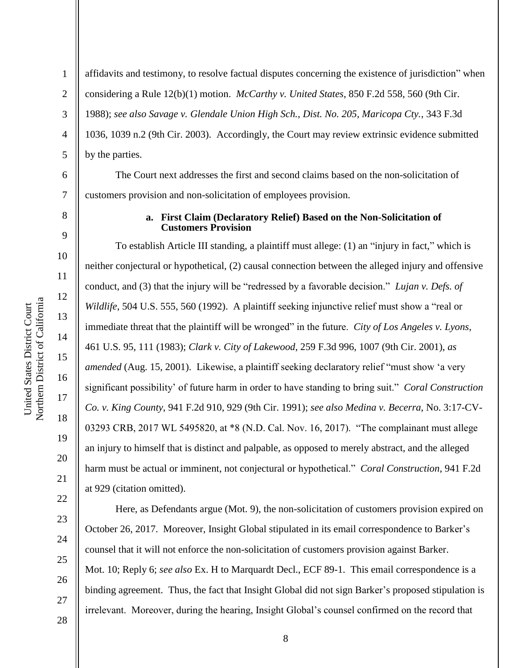8

9

10

11

12

13

14

15

16

17

18

19

20

21

22

23

24

25

26

27

2 3 4 5 affidavits and testimony, to resolve factual disputes concerning the existence of jurisdiction" when considering a Rule 12(b)(1) motion. *McCarthy v. United States*, 850 F.2d 558, 560 (9th Cir. 1988); *see also Savage v. Glendale Union High Sch., Dist. No. 205, Maricopa Cty.*, 343 F.3d 1036, 1039 n.2 (9th Cir. 2003). Accordingly, the Court may review extrinsic evidence submitted by the parties.

6 7 The Court next addresses the first and second claims based on the non-solicitation of customers provision and non-solicitation of employees provision.

#### **a. First Claim (Declaratory Relief) Based on the Non-Solicitation of Customers Provision**

To establish Article III standing, a plaintiff must allege: (1) an "injury in fact," which is neither conjectural or hypothetical, (2) causal connection between the alleged injury and offensive conduct, and (3) that the injury will be "redressed by a favorable decision." *Lujan v. Defs. of Wildlife*, 504 U.S. 555, 560 (1992). A plaintiff seeking injunctive relief must show a "real or immediate threat that the plaintiff will be wronged" in the future. *City of Los Angeles v. Lyons*, 461 U.S. 95, 111 (1983); *Clark v. City of Lakewood*, 259 F.3d 996, 1007 (9th Cir. 2001), *as amended* (Aug. 15, 2001). Likewise, a plaintiff seeking declaratory relief "must show 'a very significant possibility' of future harm in order to have standing to bring suit." *Coral Construction Co. v. King County*, 941 F.2d 910, 929 (9th Cir. 1991); *see also Medina v. Becerra*, No. 3:17-CV-03293 CRB, 2017 WL 5495820, at \*8 (N.D. Cal. Nov. 16, 2017). "The complainant must allege an injury to himself that is distinct and palpable, as opposed to merely abstract, and the alleged harm must be actual or imminent, not conjectural or hypothetical." *Coral Construction*, 941 F.2d at 929 (citation omitted).

Here, as Defendants argue (Mot. 9), the non-solicitation of customers provision expired on October 26, 2017. Moreover, Insight Global stipulated in its email correspondence to Barker's counsel that it will not enforce the non-solicitation of customers provision against Barker. Mot. 10; Reply 6; *see also* Ex. H to Marquardt Decl., ECF 89-1. This email correspondence is a binding agreement. Thus, the fact that Insight Global did not sign Barker's proposed stipulation is irrelevant. Moreover, during the hearing, Insight Global's counsel confirmed on the record that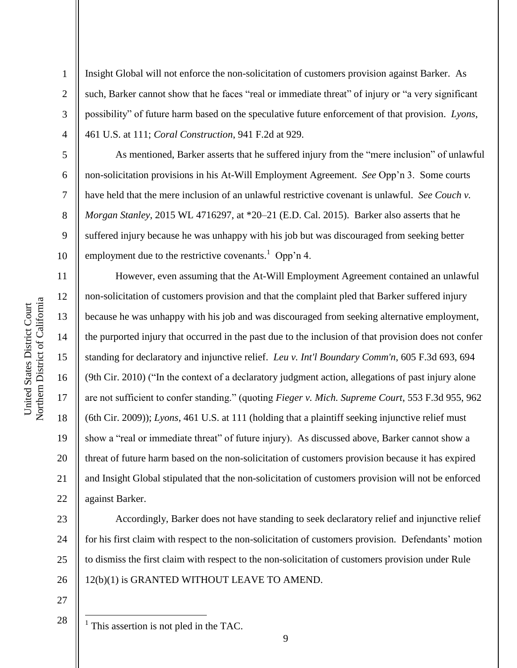2

3

4

5

6

7

8

9

10

11

12

13

14

15

16

17

18

19

20

21

22

Insight Global will not enforce the non-solicitation of customers provision against Barker. As such, Barker cannot show that he faces "real or immediate threat" of injury or "a very significant possibility" of future harm based on the speculative future enforcement of that provision. *Lyons*, 461 U.S. at 111; *Coral Construction*, 941 F.2d at 929.

As mentioned, Barker asserts that he suffered injury from the "mere inclusion" of unlawful non-solicitation provisions in his At-Will Employment Agreement. *See* Opp'n 3. Some courts have held that the mere inclusion of an unlawful restrictive covenant is unlawful. *See Couch v. Morgan Stanley*, 2015 WL 4716297, at \*20–21 (E.D. Cal. 2015). Barker also asserts that he suffered injury because he was unhappy with his job but was discouraged from seeking better employment due to the restrictive covenants.<sup>1</sup> Opp'n 4.

However, even assuming that the At-Will Employment Agreement contained an unlawful non-solicitation of customers provision and that the complaint pled that Barker suffered injury because he was unhappy with his job and was discouraged from seeking alternative employment, the purported injury that occurred in the past due to the inclusion of that provision does not confer standing for declaratory and injunctive relief. *Leu v. Int'l Boundary Comm'n*, 605 F.3d 693, 694 (9th Cir. 2010) ("In the context of a declaratory judgment action, allegations of past injury alone are not sufficient to confer standing." (quoting *Fieger v. Mich. Supreme Court*, 553 F.3d 955, 962 (6th Cir. 2009)); *Lyons*, 461 U.S. at 111 (holding that a plaintiff seeking injunctive relief must show a "real or immediate threat" of future injury). As discussed above, Barker cannot show a threat of future harm based on the non-solicitation of customers provision because it has expired and Insight Global stipulated that the non-solicitation of customers provision will not be enforced against Barker.

23 24 25 26 Accordingly, Barker does not have standing to seek declaratory relief and injunctive relief for his first claim with respect to the non-solicitation of customers provision. Defendants' motion to dismiss the first claim with respect to the non-solicitation of customers provision under Rule 12(b)(1) is GRANTED WITHOUT LEAVE TO AMEND.

27 28

 $\overline{a}$ 

 $<sup>1</sup>$  This assertion is not pled in the TAC.</sup>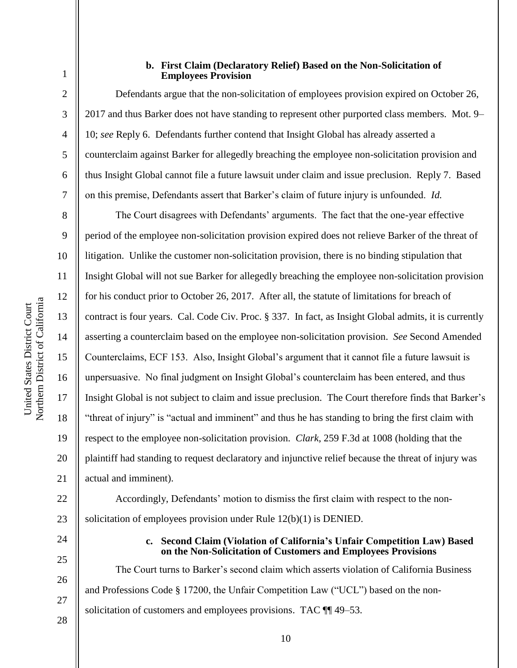#### **b. First Claim (Declaratory Relief) Based on the Non-Solicitation of Employees Provision**

Defendants argue that the non-solicitation of employees provision expired on October 26, 2017 and thus Barker does not have standing to represent other purported class members. Mot. 9– 10; *see* Reply 6. Defendants further contend that Insight Global has already asserted a counterclaim against Barker for allegedly breaching the employee non-solicitation provision and thus Insight Global cannot file a future lawsuit under claim and issue preclusion. Reply 7. Based on this premise, Defendants assert that Barker's claim of future injury is unfounded. *Id.*

The Court disagrees with Defendants' arguments. The fact that the one-year effective period of the employee non-solicitation provision expired does not relieve Barker of the threat of litigation. Unlike the customer non-solicitation provision, there is no binding stipulation that Insight Global will not sue Barker for allegedly breaching the employee non-solicitation provision for his conduct prior to October 26, 2017. After all, the statute of limitations for breach of contract is four years. Cal. Code Civ. Proc. § 337. In fact, as Insight Global admits, it is currently asserting a counterclaim based on the employee non-solicitation provision. *See* Second Amended Counterclaims, ECF 153. Also, Insight Global's argument that it cannot file a future lawsuit is unpersuasive. No final judgment on Insight Global's counterclaim has been entered, and thus Insight Global is not subject to claim and issue preclusion. The Court therefore finds that Barker's "threat of injury" is "actual and imminent" and thus he has standing to bring the first claim with respect to the employee non-solicitation provision. *Clark*, 259 F.3d at 1008 (holding that the plaintiff had standing to request declaratory and injunctive relief because the threat of injury was actual and imminent).

22 23 Accordingly, Defendants' motion to dismiss the first claim with respect to the nonsolicitation of employees provision under Rule 12(b)(1) is DENIED.

24 25 26

27

28

**c. Second Claim (Violation of California's Unfair Competition Law) Based on the Non-Solicitation of Customers and Employees Provisions**

The Court turns to Barker's second claim which asserts violation of California Business and Professions Code § 17200, the Unfair Competition Law ("UCL") based on the nonsolicitation of customers and employees provisions. TAC  $\P$  49–53.

Northern District of California Northern District of California United States District Court United States District Court

1

2

3

4

5

6

7

8

9

10

11

12

13

14

15

16

17

18

19

20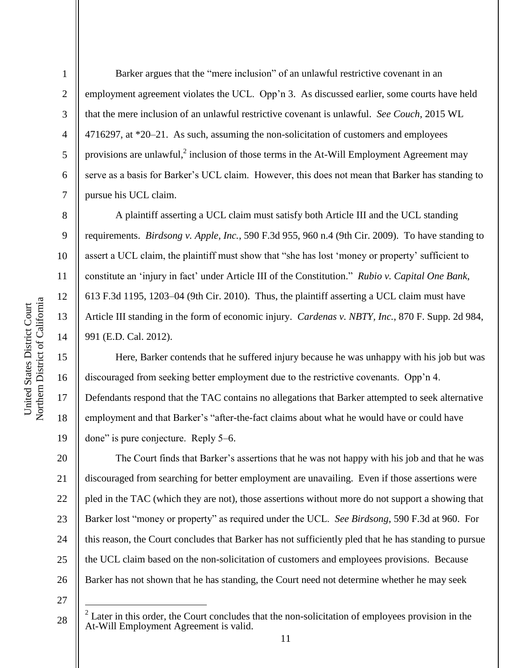2

3

4

5

6

7

8

9

10

11

12

13

14

15

16

17

18

19

Barker argues that the "mere inclusion" of an unlawful restrictive covenant in an employment agreement violates the UCL. Opp'n 3. As discussed earlier, some courts have held that the mere inclusion of an unlawful restrictive covenant is unlawful. *See Couch*, 2015 WL 4716297, at \*20–21. As such, assuming the non-solicitation of customers and employees provisions are unlawful, $2$  inclusion of those terms in the At-Will Employment Agreement may serve as a basis for Barker's UCL claim. However, this does not mean that Barker has standing to pursue his UCL claim.

A plaintiff asserting a UCL claim must satisfy both Article III and the UCL standing requirements. *Birdsong v. Apple, Inc.*, 590 F.3d 955, 960 n.4 (9th Cir. 2009). To have standing to assert a UCL claim, the plaintiff must show that "she has lost 'money or property' sufficient to constitute an 'injury in fact' under Article III of the Constitution." *Rubio v. Capital One Bank*, 613 F.3d 1195, 1203–04 (9th Cir. 2010). Thus, the plaintiff asserting a UCL claim must have Article III standing in the form of economic injury. *Cardenas v. NBTY, Inc.*, 870 F. Supp. 2d 984, 991 (E.D. Cal. 2012).

Here, Barker contends that he suffered injury because he was unhappy with his job but was discouraged from seeking better employment due to the restrictive covenants. Opp'n 4. Defendants respond that the TAC contains no allegations that Barker attempted to seek alternative employment and that Barker's "after-the-fact claims about what he would have or could have done" is pure conjecture. Reply 5–6.

20 21 22 23 24 25 26 The Court finds that Barker's assertions that he was not happy with his job and that he was discouraged from searching for better employment are unavailing. Even if those assertions were pled in the TAC (which they are not), those assertions without more do not support a showing that Barker lost "money or property" as required under the UCL. *See Birdsong*, 590 F.3d at 960. For this reason, the Court concludes that Barker has not sufficiently pled that he has standing to pursue the UCL claim based on the non-solicitation of customers and employees provisions. Because Barker has not shown that he has standing, the Court need not determine whether he may seek

27

 $\overline{a}$ 

 $2^2$  Later in this order, the Court concludes that the non-solicitation of employees provision in the At-Will Employment Agreement is valid.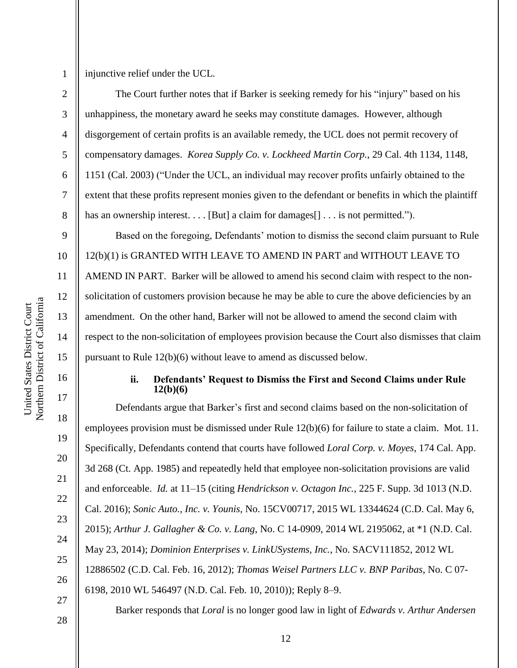3

4

5

6

7

8

9

10

11

12

13

14

15

16

17

18

19

20

21

22

23

24

25

26

27

injunctive relief under the UCL.

The Court further notes that if Barker is seeking remedy for his "injury" based on his unhappiness, the monetary award he seeks may constitute damages. However, although disgorgement of certain profits is an available remedy, the UCL does not permit recovery of compensatory damages. *Korea Supply Co. v. Lockheed Martin Corp.*, 29 Cal. 4th 1134, 1148, 1151 (Cal. 2003) ("Under the UCL, an individual may recover profits unfairly obtained to the extent that these profits represent monies given to the defendant or benefits in which the plaintiff has an ownership interest. . . . [But] a claim for damages[] . . . is not permitted.").

Based on the foregoing, Defendants' motion to dismiss the second claim pursuant to Rule 12(b)(1) is GRANTED WITH LEAVE TO AMEND IN PART and WITHOUT LEAVE TO AMEND IN PART. Barker will be allowed to amend his second claim with respect to the nonsolicitation of customers provision because he may be able to cure the above deficiencies by an amendment. On the other hand, Barker will not be allowed to amend the second claim with respect to the non-solicitation of employees provision because the Court also dismisses that claim pursuant to Rule 12(b)(6) without leave to amend as discussed below.

#### **ii. Defendants' Request to Dismiss the First and Second Claims under Rule 12(b)(6)**

Defendants argue that Barker's first and second claims based on the non-solicitation of employees provision must be dismissed under Rule 12(b)(6) for failure to state a claim. Mot. 11. Specifically, Defendants contend that courts have followed *Loral Corp. v. Moyes*, 174 Cal. App. 3d 268 (Ct. App. 1985) and repeatedly held that employee non-solicitation provisions are valid and enforceable. *Id.* at 11–15 (citing *Hendrickson v. Octagon Inc.*, 225 F. Supp. 3d 1013 (N.D. Cal. 2016); *Sonic Auto., Inc. v. Younis*, No. 15CV00717, 2015 WL 13344624 (C.D. Cal. May 6, 2015); *Arthur J. Gallagher & Co. v. Lang*, No. C 14-0909, 2014 WL 2195062, at \*1 (N.D. Cal. May 23, 2014); *Dominion Enterprises v. LinkUSystems, Inc.*, No. SACV111852, 2012 WL 12886502 (C.D. Cal. Feb. 16, 2012); *Thomas Weisel Partners LLC v. BNP Paribas*, No. C 07- 6198, 2010 WL 546497 (N.D. Cal. Feb. 10, 2010)); Reply 8–9.

28

12

Barker responds that *Loral* is no longer good law in light of *Edwards v. Arthur Andersen*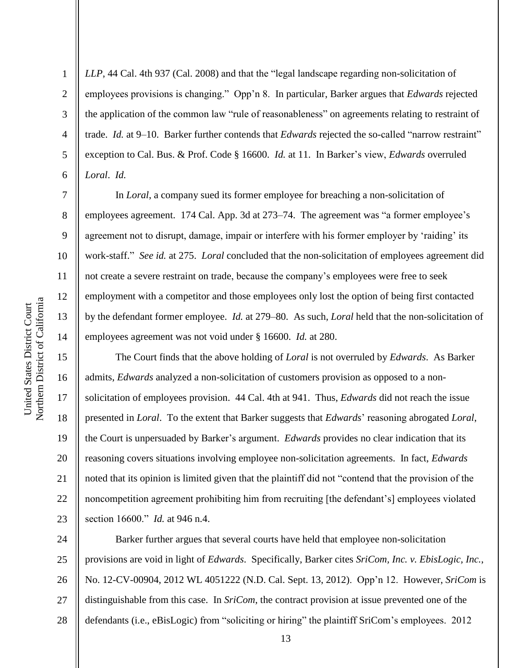2

3

4

5

6

7

8

9

10

11

12

13

14

15

16

17

18

19

20

21

22

23

*LLP*, 44 Cal. 4th 937 (Cal. 2008) and that the "legal landscape regarding non-solicitation of employees provisions is changing." Opp'n 8. In particular, Barker argues that *Edwards* rejected the application of the common law "rule of reasonableness" on agreements relating to restraint of trade. *Id.* at 9–10. Barker further contends that *Edwards* rejected the so-called "narrow restraint" exception to Cal. Bus. & Prof. Code § 16600. *Id.* at 11. In Barker's view, *Edwards* overruled *Loral*. *Id.*

In *Loral*, a company sued its former employee for breaching a non-solicitation of employees agreement. 174 Cal. App. 3d at 273–74. The agreement was "a former employee's agreement not to disrupt, damage, impair or interfere with his former employer by 'raiding' its work-staff." *See id.* at 275. *Loral* concluded that the non-solicitation of employees agreement did not create a severe restraint on trade, because the company's employees were free to seek employment with a competitor and those employees only lost the option of being first contacted by the defendant former employee. *Id.* at 279–80. As such, *Loral* held that the non-solicitation of employees agreement was not void under § 16600. *Id.* at 280.

The Court finds that the above holding of *Loral* is not overruled by *Edwards*. As Barker admits, *Edwards* analyzed a non-solicitation of customers provision as opposed to a nonsolicitation of employees provision. 44 Cal. 4th at 941. Thus, *Edwards* did not reach the issue presented in *Loral*. To the extent that Barker suggests that *Edwards*' reasoning abrogated *Loral*, the Court is unpersuaded by Barker's argument. *Edwards* provides no clear indication that its reasoning covers situations involving employee non-solicitation agreements. In fact, *Edwards* noted that its opinion is limited given that the plaintiff did not "contend that the provision of the noncompetition agreement prohibiting him from recruiting [the defendant's] employees violated section 16600." *Id.* at 946 n.4.

24 25 26 27 28 Barker further argues that several courts have held that employee non-solicitation provisions are void in light of *Edwards*. Specifically, Barker cites *SriCom, Inc. v. EbisLogic, Inc.*, No. 12-CV-00904, 2012 WL 4051222 (N.D. Cal. Sept. 13, 2012). Opp'n 12. However, *SriCom* is distinguishable from this case. In *SriCom*, the contract provision at issue prevented one of the defendants (i.e., eBisLogic) from "soliciting or hiring" the plaintiff SriCom's employees. 2012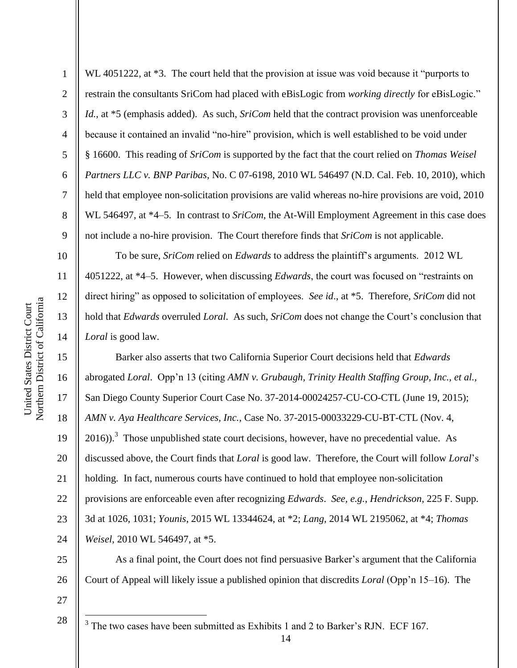2

3

4

5

6

7

8

9

10

11

12

13

14

WL 4051222, at  $*3$ . The court held that the provision at issue was void because it "purports to restrain the consultants SriCom had placed with eBisLogic from *working directly* for eBisLogic." *Id.*, at \*5 (emphasis added). As such, *SriCom* held that the contract provision was unenforceable because it contained an invalid "no-hire" provision, which is well established to be void under § 16600. This reading of *SriCom* is supported by the fact that the court relied on *Thomas Weisel Partners LLC v. BNP Paribas*, No. C 07-6198, 2010 WL 546497 (N.D. Cal. Feb. 10, 2010), which held that employee non-solicitation provisions are valid whereas no-hire provisions are void, 2010 WL 546497, at \*4–5. In contrast to *SriCom*, the At-Will Employment Agreement in this case does not include a no-hire provision. The Court therefore finds that *SriCom* is not applicable.

To be sure, *SriCom* relied on *Edwards* to address the plaintiff's arguments. 2012 WL 4051222, at \*4–5. However, when discussing *Edwards*, the court was focused on "restraints on direct hiring" as opposed to solicitation of employees. *See id*., at \*5. Therefore, *SriCom* did not hold that *Edwards* overruled *Loral*. As such, *SriCom* does not change the Court's conclusion that *Loral* is good law.

15 16 17 18 19 20 21 22 23 24 Barker also asserts that two California Superior Court decisions held that *Edwards* abrogated *Loral*. Opp'n 13 (citing *AMN v. Grubaugh, Trinity Health Staffing Group, Inc., et al.,* San Diego County Superior Court Case No. 37-2014-00024257-CU-CO-CTL (June 19, 2015); *AMN v. Aya Healthcare Services, Inc.*, Case No. 37-2015-00033229-CU-BT-CTL (Nov. 4,  $2016$ )).<sup>3</sup> Those unpublished state court decisions, however, have no precedential value. As discussed above, the Court finds that *Loral* is good law. Therefore, the Court will follow *Loral*'s holding. In fact, numerous courts have continued to hold that employee non-solicitation provisions are enforceable even after recognizing *Edwards*. *See, e.g.*, *Hendrickson*, 225 F. Supp. 3d at 1026, 1031; *Younis*, 2015 WL 13344624, at \*2; *Lang*, 2014 WL 2195062, at \*4; *Thomas Weisel*, 2010 WL 546497, at \*5.

25 26 As a final point, the Court does not find persuasive Barker's argument that the California Court of Appeal will likely issue a published opinion that discredits *Loral* (Opp'n 15–16). The

27

28

 $\overline{a}$ 

 $3$  The two cases have been submitted as Exhibits 1 and 2 to Barker's RJN. ECF 167.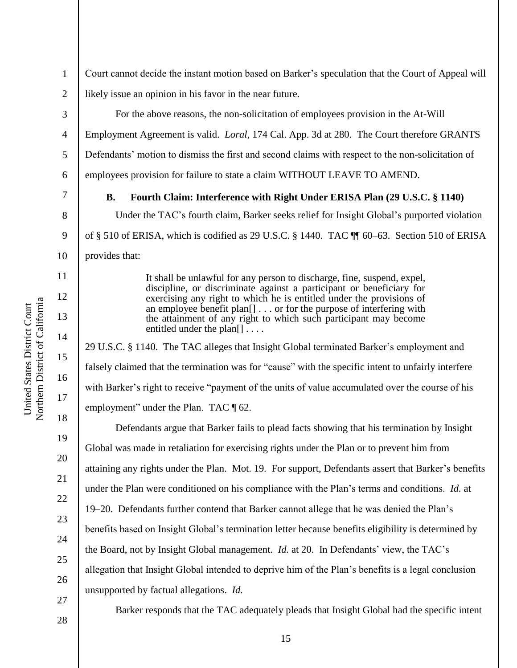1 2 Court cannot decide the instant motion based on Barker's speculation that the Court of Appeal will likely issue an opinion in his favor in the near future.

For the above reasons, the non-solicitation of employees provision in the At-Will Employment Agreement is valid. *Loral*, 174 Cal. App. 3d at 280. The Court therefore GRANTS Defendants' motion to dismiss the first and second claims with respect to the non-solicitation of employees provision for failure to state a claim WITHOUT LEAVE TO AMEND.

**B. Fourth Claim: Interference with Right Under ERISA Plan (29 U.S.C. § 1140)** Under the TAC's fourth claim, Barker seeks relief for Insight Global's purported violation

of § 510 of ERISA, which is codified as 29 U.S.C. § 1440. TAC ¶¶ 60–63. Section 510 of ERISA provides that:

> It shall be unlawful for any person to discharge, fine, suspend, expel, discipline, or discriminate against a participant or beneficiary for exercising any right to which he is entitled under the provisions of an employee benefit plan[] . . . or for the purpose of interfering with the attainment of any right to which such participant may become entitled under the plan[] . . . .

29 U.S.C. § 1140. The TAC alleges that Insight Global terminated Barker's employment and falsely claimed that the termination was for "cause" with the specific intent to unfairly interfere with Barker's right to receive "payment of the units of value accumulated over the course of his employment" under the Plan. TAC ¶ 62.

Defendants argue that Barker fails to plead facts showing that his termination by Insight Global was made in retaliation for exercising rights under the Plan or to prevent him from attaining any rights under the Plan. Mot. 19*.* For support, Defendants assert that Barker's benefits under the Plan were conditioned on his compliance with the Plan's terms and conditions. *Id.* at 19–20. Defendants further contend that Barker cannot allege that he was denied the Plan's benefits based on Insight Global's termination letter because benefits eligibility is determined by the Board, not by Insight Global management. *Id.* at 20. In Defendants' view, the TAC's allegation that Insight Global intended to deprive him of the Plan's benefits is a legal conclusion unsupported by factual allegations. *Id.*

28

3

4

5

6

7

8

9

10

11

12

13

14

15

16

17

18

19

20

21

22

23

24

25

26

27

Barker responds that the TAC adequately pleads that Insight Global had the specific intent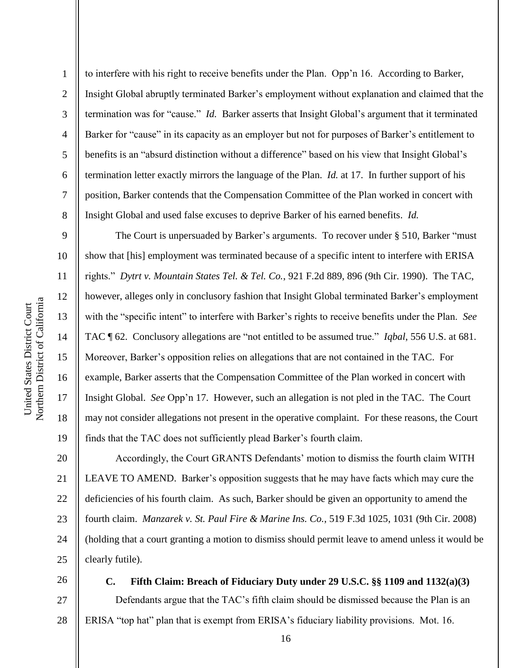2

3

4

5

6

7

8

9

10

11

12

13

14

15

16

17

18

19

to interfere with his right to receive benefits under the Plan. Opp'n 16. According to Barker, Insight Global abruptly terminated Barker's employment without explanation and claimed that the termination was for "cause." *Id.* Barker asserts that Insight Global's argument that it terminated Barker for "cause" in its capacity as an employer but not for purposes of Barker's entitlement to benefits is an "absurd distinction without a difference" based on his view that Insight Global's termination letter exactly mirrors the language of the Plan. *Id.* at 17. In further support of his position, Barker contends that the Compensation Committee of the Plan worked in concert with Insight Global and used false excuses to deprive Barker of his earned benefits. *Id.*

The Court is unpersuaded by Barker's arguments. To recover under § 510, Barker "must show that [his] employment was terminated because of a specific intent to interfere with ERISA rights." *Dytrt v. Mountain States Tel. & Tel. Co.*, 921 F.2d 889, 896 (9th Cir. 1990). The TAC, however, alleges only in conclusory fashion that Insight Global terminated Barker's employment with the "specific intent" to interfere with Barker's rights to receive benefits under the Plan. *See* TAC ¶ 62. Conclusory allegations are "not entitled to be assumed true." *Iqbal*, 556 U.S. at 681. Moreover, Barker's opposition relies on allegations that are not contained in the TAC. For example, Barker asserts that the Compensation Committee of the Plan worked in concert with Insight Global. *See* Opp'n 17. However, such an allegation is not pled in the TAC. The Court may not consider allegations not present in the operative complaint. For these reasons, the Court finds that the TAC does not sufficiently plead Barker's fourth claim.

20 21 22 23 24 25 Accordingly, the Court GRANTS Defendants' motion to dismiss the fourth claim WITH LEAVE TO AMEND. Barker's opposition suggests that he may have facts which may cure the deficiencies of his fourth claim. As such, Barker should be given an opportunity to amend the fourth claim. *Manzarek v. St. Paul Fire & Marine Ins. Co.*, 519 F.3d 1025, 1031 (9th Cir. 2008) (holding that a court granting a motion to dismiss should permit leave to amend unless it would be clearly futile).

26 27

28

**C. Fifth Claim: Breach of Fiduciary Duty under 29 U.S.C. §§ 1109 and 1132(a)(3)** Defendants argue that the TAC's fifth claim should be dismissed because the Plan is an ERISA "top hat" plan that is exempt from ERISA's fiduciary liability provisions. Mot. 16.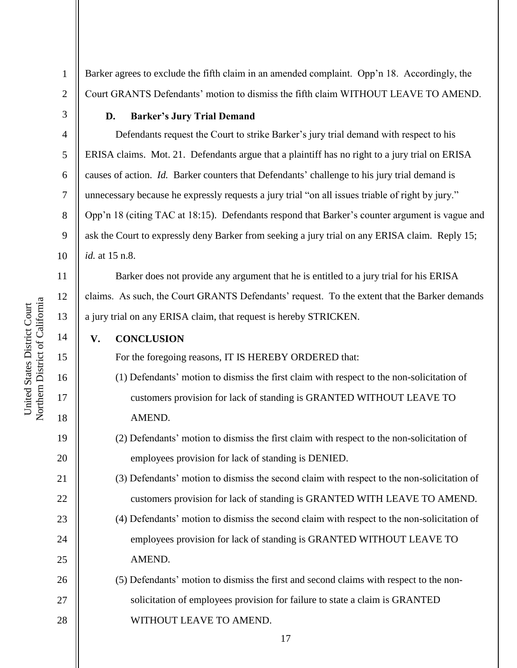6

7

8

9

10

11

12

13

14

15

16

17

18

19

20

21

22

23

 $24$ 

25

1

Court GRANTS Defendants' motion to dismiss the fifth claim WITHOUT LEAVE TO AMEND.

**D. Barker's Jury Trial Demand**

Defendants request the Court to strike Barker's jury trial demand with respect to his ERISA claims. Mot. 21. Defendants argue that a plaintiff has no right to a jury trial on ERISA causes of action. *Id.* Barker counters that Defendants' challenge to his jury trial demand is unnecessary because he expressly requests a jury trial "on all issues triable of right by jury." Opp'n 18 (citing TAC at 18:15). Defendants respond that Barker's counter argument is vague and ask the Court to expressly deny Barker from seeking a jury trial on any ERISA claim. Reply 15; *id.* at 15 n.8.

Barker agrees to exclude the fifth claim in an amended complaint. Opp'n 18. Accordingly, the

Barker does not provide any argument that he is entitled to a jury trial for his ERISA claims. As such, the Court GRANTS Defendants' request. To the extent that the Barker demands a jury trial on any ERISA claim, that request is hereby STRICKEN.

## **V. CONCLUSION**

For the foregoing reasons, IT IS HEREBY ORDERED that:

- (1) Defendants' motion to dismiss the first claim with respect to the non-solicitation of customers provision for lack of standing is GRANTED WITHOUT LEAVE TO AMEND.
- (2) Defendants' motion to dismiss the first claim with respect to the non-solicitation of employees provision for lack of standing is DENIED.
- (3) Defendants' motion to dismiss the second claim with respect to the non-solicitation of customers provision for lack of standing is GRANTED WITH LEAVE TO AMEND.
- (4) Defendants' motion to dismiss the second claim with respect to the non-solicitation of employees provision for lack of standing is GRANTED WITHOUT LEAVE TO AMEND.
- 26 27 28 (5) Defendants' motion to dismiss the first and second claims with respect to the nonsolicitation of employees provision for failure to state a claim is GRANTED WITHOUT LEAVE TO AMEND.